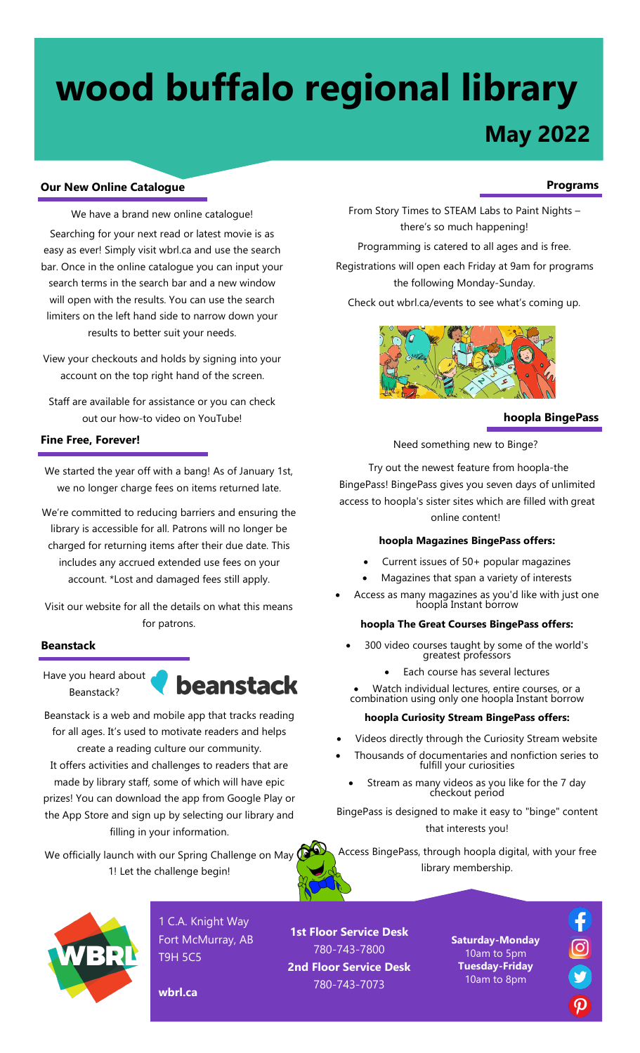# **wood buffalo regional library**

# **May 2022**

## **Our New Online Catalogue**

We have a brand new online catalogue! Searching for your next read or latest movie is as easy as ever! Simply visit wbrl.ca and use the search bar. Once in the online catalogue you can input your search terms in the search bar and a new window will open with the results. You can use the search limiters on the left hand side to narrow down your results to better suit your needs.

View your checkouts and holds by signing into your account on the top right hand of the screen.

Staff are available for assistance or you can check out our how-to video on YouTube!

### **Fine Free, Forever!**

We started the year off with a bang! As of January 1st, we no longer charge fees on items returned late.

We're committed to reducing barriers and ensuring the library is accessible for all. Patrons will no longer be charged for returning items after their due date. This includes any accrued extended use fees on your account. \*Lost and damaged fees still apply.

Visit our website for all the details on what this means for patrons.

#### **Beanstack**

Have you heard about Beanstack?



Beanstack is a web and mobile app that tracks reading for all ages. It's used to motivate readers and helps create a reading culture our community. It offers activities and challenges to readers that are made by library staff, some of which will have epic prizes! You can download the app from Google Play or the App Store and sign up by selecting our library and filling in your information.

We officially launch with our Spring Challenge on May  $Q$ 1! Let the challenge begin!

**wbrl.ca**

#### **Programs**

From Story Times to STEAM Labs to Paint Nights – there's so much happening!

Programming is catered to all ages and is free.

Registrations will open each Friday at 9am for programs the following Monday-Sunday.

Check out wbrl.ca/events to see what's coming up.



#### **hoopla BingePass**

Need something new to Binge?

Try out the newest feature from hoopla-the BingePass! BingePass gives you seven days of unlimited access to hoopla's sister sites which are filled with great online content!

#### **hoopla Magazines BingePass offers:**

- Current issues of 50+ popular magazines
- Magazines that span a variety of interests
- Access as many magazines as you'd like with just one hoopla Instant borrow

#### **hoopla The Great Courses BingePass offers:**

- 300 video courses taught by some of the world's greatest professors
	- Each course has several lectures

Watch individual lectures, entire courses, or a combination using only one hoopla Instant borrow

# **hoopla Curiosity Stream BingePass offers:**

- Videos directly through the Curiosity Stream website
- Thousands of documentaries and nonfiction series to fulfill your curiosities
	- Stream as many videos as you like for the 7 day checkout period

BingePass is designed to make it easy to "binge" content that interests you!

Access BingePass, through hoopla digital, with your free library membership.



1 C.A. Knight Way Fort McMurray, AB T9H 5C5

**1st Floor Service Desk** 780-743-7800 **2nd Floor Service Desk** 780-743-7073

**Saturday-Monday** 10am to 5pm **Tuesday-Friday** 10am to 8pm